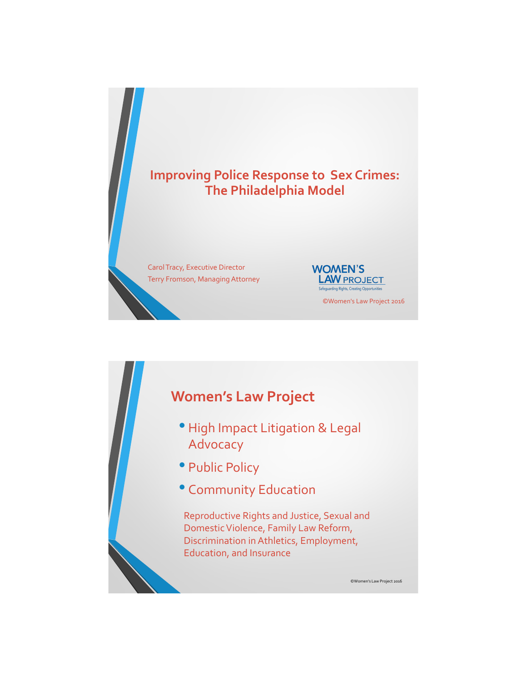

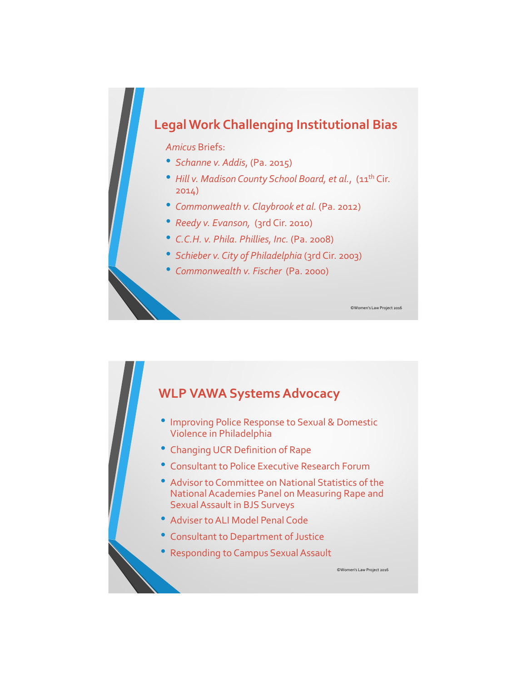## **Legal Work Challenging Institutional Bias**

*Amicus* Briefs:

- *Schanne v. Addis*, (Pa. 2015)
- *Hill v. Madison County School Board, et al.*, (11<sup>th</sup> Cir. 2014)

- *Commonwealth v. Claybrook et al.* (Pa. 2012)
- *Reedy v. Evanson,* (3rd Cir. 2010)
- *C.C.H. v. Phila. Phillies, Inc.* (Pa. 2008)
- *Schieber v. City of Philadelphia* (3rd Cir. 2003)
- *Commonwealth v. Fischer* (Pa. 2000)

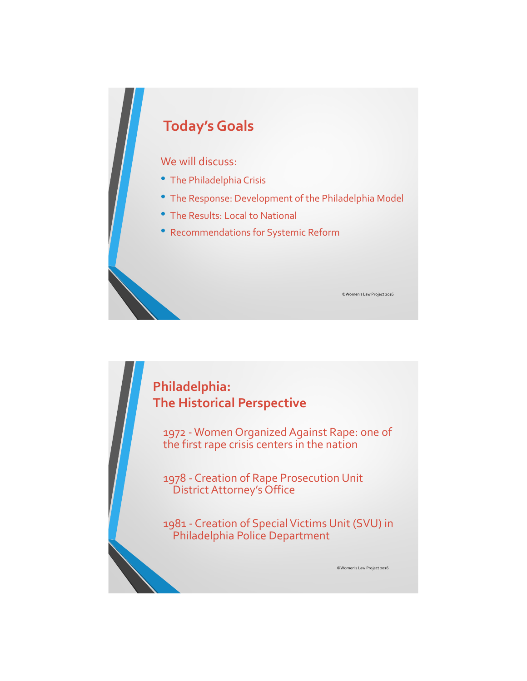# **Today's Goals** We will discuss: • The Philadelphia Crisis • The Response: Development of the Philadelphia Model • The Results: Local to National • Recommendations for Systemic Reform ©Women's Law Project 2016

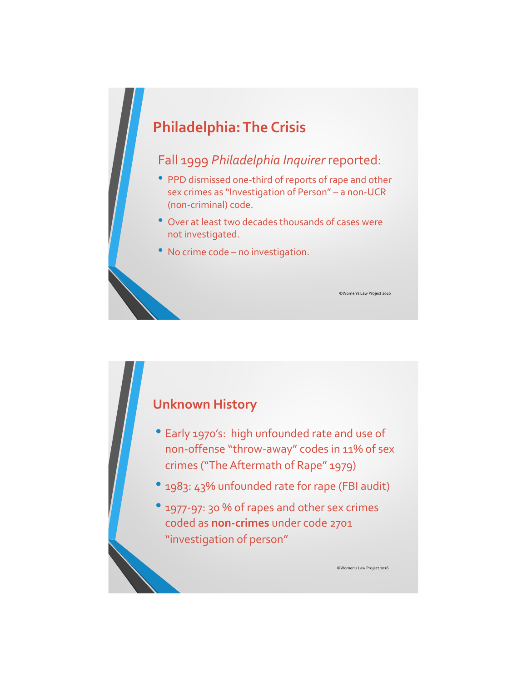# **Philadelphia: The Crisis**

#### Fall 1999 *Philadelphia Inquirer* reported:

- PPD dismissed one-third of reports of rape and other sex crimes as "Investigation of Person" – a non-UCR (non-criminal) code.
- Over at least two decades thousands of cases were not investigated.
- No crime code no investigation.

#### **Unknown History**

- Early 1970's: high unfounded rate and use of non-offense "throw-away" codes in 11% of sex crimes ("The Aftermath of Rape" 1979)
- 1983: 43% unfounded rate for rape (FBI audit)
- 1977-97: 30 % of rapes and other sex crimes coded as **non-crimes** under code 2701 "investigation of person"

©Women's Law Project 2016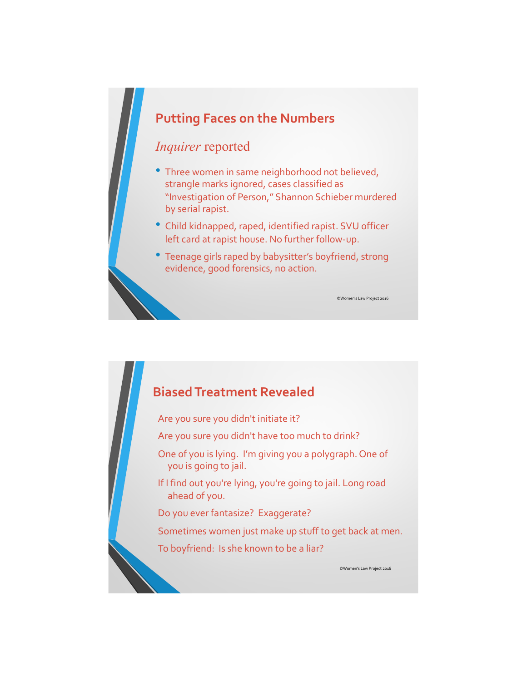#### **Putting Faces on the Numbers**

#### *Inquirer* reported

- Three women in same neighborhood not believed, strangle marks ignored, cases classified as "Investigation of Person," Shannon Schieber murdered by serial rapist.
- Child kidnapped, raped, identified rapist. SVU officer left card at rapist house. No further follow-up.
- Teenage girls raped by babysitter's boyfriend, strong evidence, good forensics, no action.

#### **Biased Treatment Revealed**

Are you sure you didn't initiate it?

Are you sure you didn't have too much to drink?

One of you is lying. I'm giving you a polygraph. One of you is going to jail.

If I find out you're lying, you're going to jail. Long road ahead of you.

Do you ever fantasize? Exaggerate?

Sometimes women just make up stuff to get back at men.

To boyfriend: Is she known to be a liar?

©Women's Law Project 2016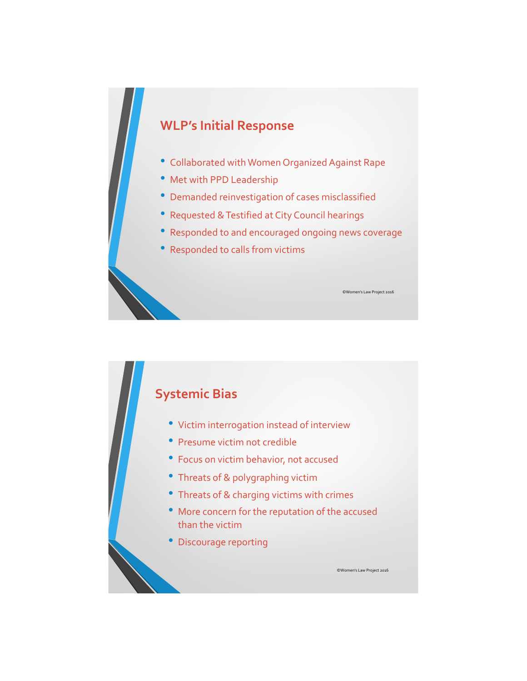## **WLP's Initial Response**

- Collaborated with Women Organized Against Rape
- Met with PPD Leadership
- Demanded reinvestigation of cases misclassified
- Requested & Testified at City Council hearings
- Responded to and encouraged ongoing news coverage

©Women's Law Project 2016

• Responded to calls from victims

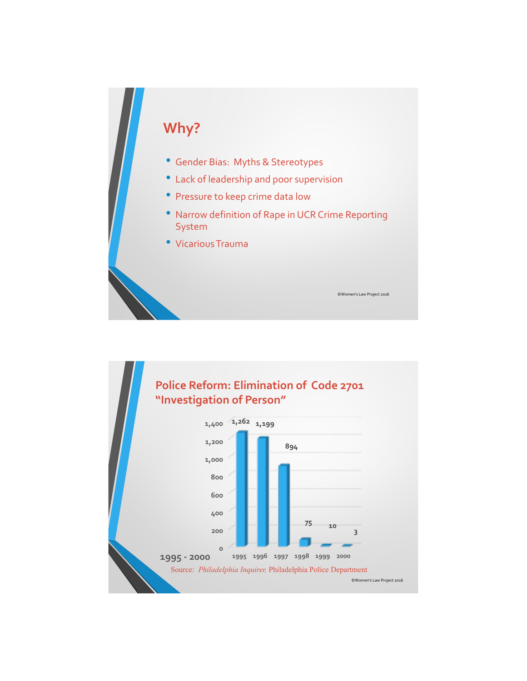# **Why?**

- Gender Bias: Myths & Stereotypes
- Lack of leadership and poor supervision
- Pressure to keep crime data low
- Narrow definition of Rape in UCR Crime Reporting System

©Women's Law Project 2016

• Vicarious Trauma

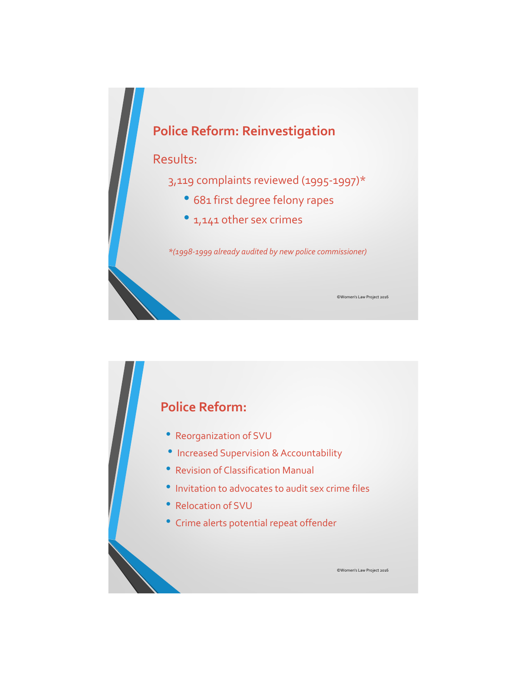

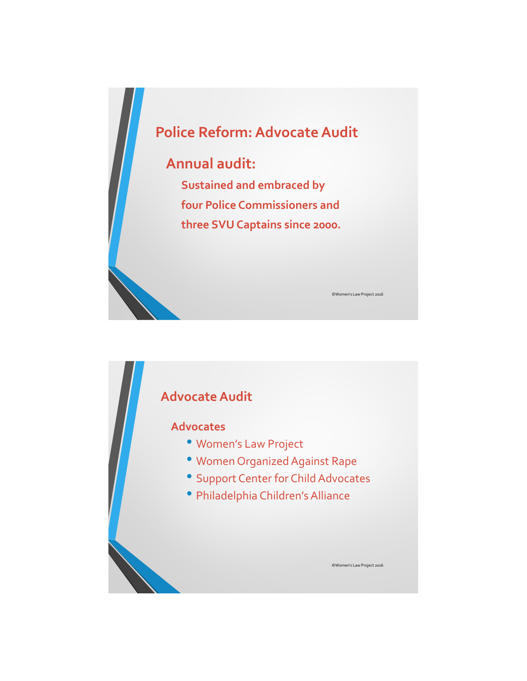

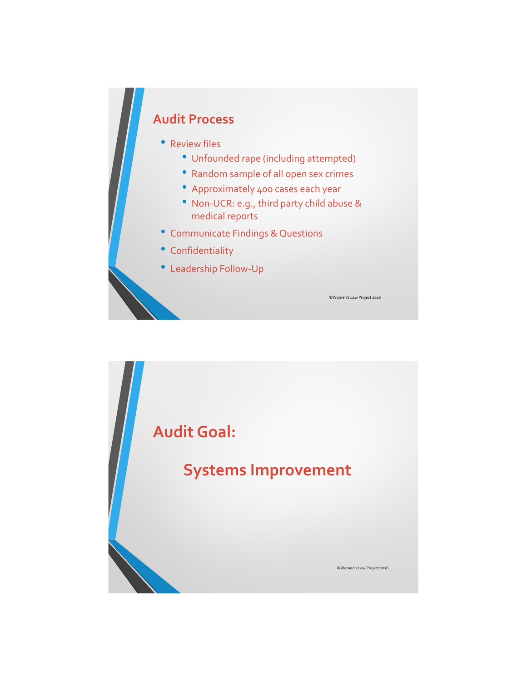# **Audit Process**

#### • Review files

- Unfounded rape (including attempted)
- Random sample of all open sex crimes
- Approximately 400 cases each year
- Non-UCR: e.g., third party child abuse & medical reports
- Communicate Findings & Questions
- Confidentiality
- Leadership Follow-Up

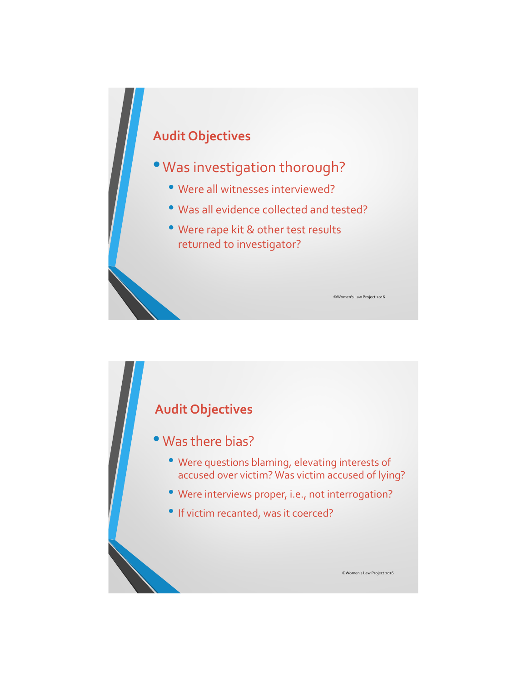

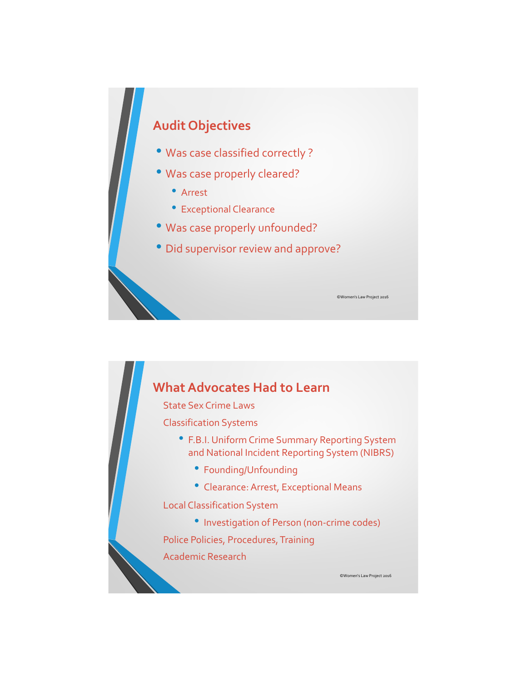## **Audit Objectives**

- Was case classified correctly ?
- Was case properly cleared?
	- Arrest
	- Exceptional Clearance
- Was case properly unfounded?
- Did supervisor review and approve?

#### **What Advocates Had to Learn**

State Sex Crime Laws

Classification Systems

• F.B.I. Uniform Crime Summary Reporting System and National Incident Reporting System (NIBRS)

©Women's Law Project 2016

©Women's Law Project 2016

- Founding/Unfounding
- Clearance: Arrest, Exceptional Means

Local Classification System

• Investigation of Person (non-crime codes)

Police Policies, Procedures, Training

Academic Research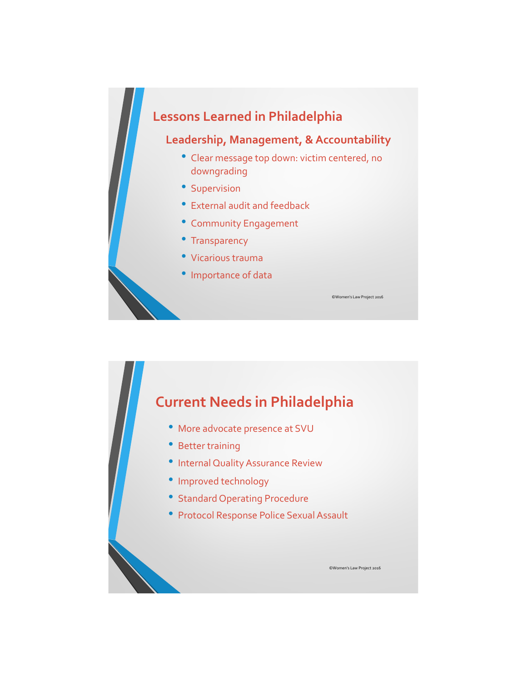

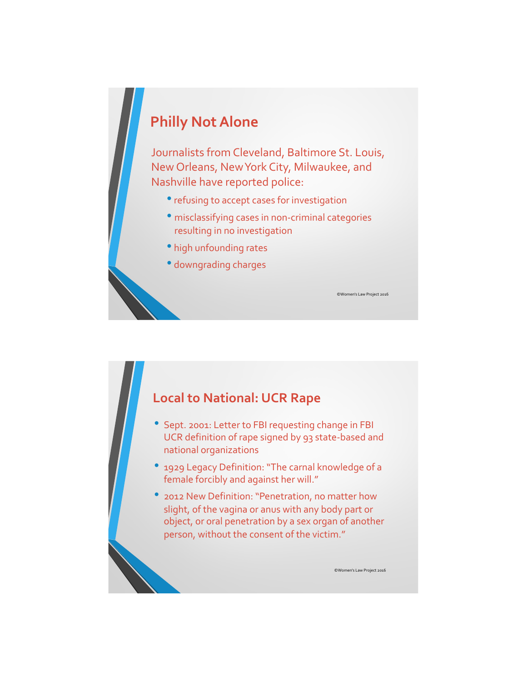## **Philly Not Alone**

Journalists from Cleveland, Baltimore St. Louis, New Orleans, New York City, Milwaukee, and Nashville have reported police:

- refusing to accept cases for investigation
- misclassifying cases in non-criminal categories resulting in no investigation

©Women's Law Project 2016

©Women's Law Project 2016

- high unfounding rates
- downgrading charges

#### **Local to National: UCR Rape**

- Sept. 2001: Letter to FBI requesting change in FBI UCR definition of rape signed by 93 state-based and national organizations
- 1929 Legacy Definition: "The carnal knowledge of a female forcibly and against her will."
- 2012 New Definition: "Penetration, no matter how slight, of the vagina or anus with any body part or object, or oral penetration by a sex organ of another person, without the consent of the victim."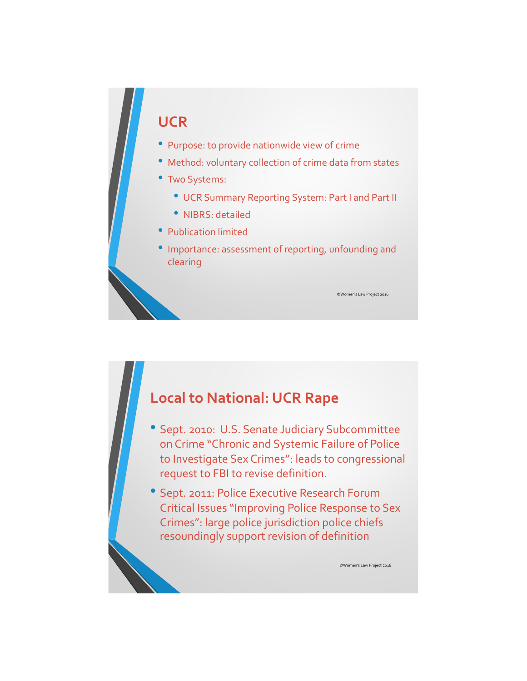## **UCR**

- Purpose: to provide nationwide view of crime
- Method: voluntary collection of crime data from states
- Two Systems:
	- UCR Summary Reporting System: Part I and Part II
	- NIBRS: detailed
- Publication limited
- Importance: assessment of reporting, unfounding and clearing

## **Local to National: UCR Rape**

- Sept. 2010: U.S. Senate Judiciary Subcommittee on Crime "Chronic and Systemic Failure of Police to Investigate Sex Crimes": leads to congressional request to FBI to revise definition.
- Sept. 2011: Police Executive Research Forum Critical Issues "Improving Police Response to Sex Crimes": large police jurisdiction police chiefs resoundingly support revision of definition

©Women's Law Project 2016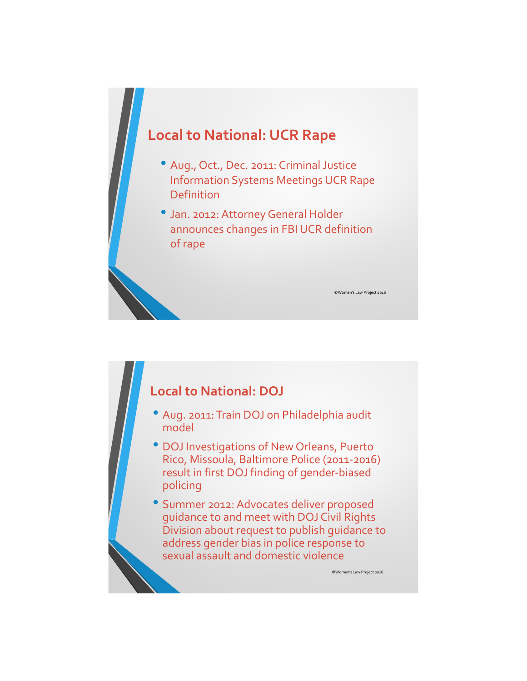

#### **Local to National: DOJ**

- Aug. 2011: Train DOJ on Philadelphia audit model
- DOJ Investigations of New Orleans, Puerto Rico, Missoula, Baltimore Police (2011-2016) result in first DOJ finding of gender-biased policing
- Summer 2012: Advocates deliver proposed guidance to and meet with DOJ Civil Rights Division about request to publish guidance to address gender bias in police response to sexual assault and domestic violence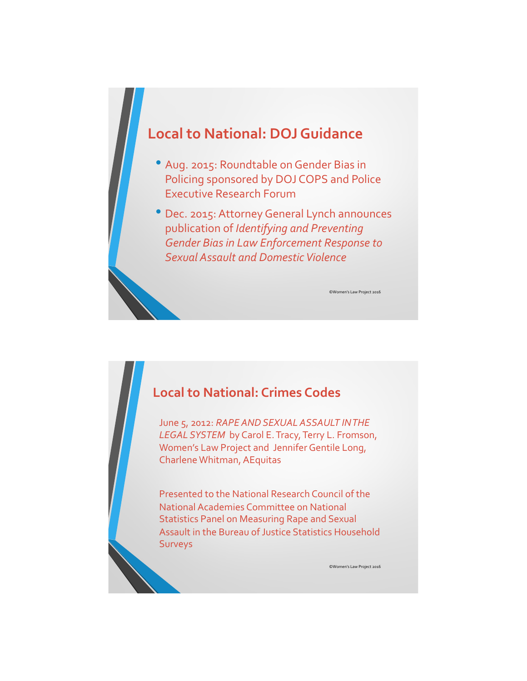

- Aug. 2015: Roundtable on Gender Bias in Policing sponsored by DOJ COPS and Police Executive Research Forum
- Dec. 2015: Attorney General Lynch announces publication of *Identifying and Preventing Gender Bias in Law Enforcement Response to Sexual Assault and Domestic Violence*

#### **Local to National: Crimes Codes**

June 5, 2012: *RAPE AND SEXUAL ASSAULT IN THE LEGAL SYSTEM* by Carol E. Tracy, Terry L. Fromson, Women's Law Project and Jennifer Gentile Long, Charlene Whitman, AEquitas

Presented to the National Research Council of the National Academies Committee on National Statistics Panel on Measuring Rape and Sexual Assault in the Bureau of Justice Statistics Household Surveys

©Women's Law Project 2016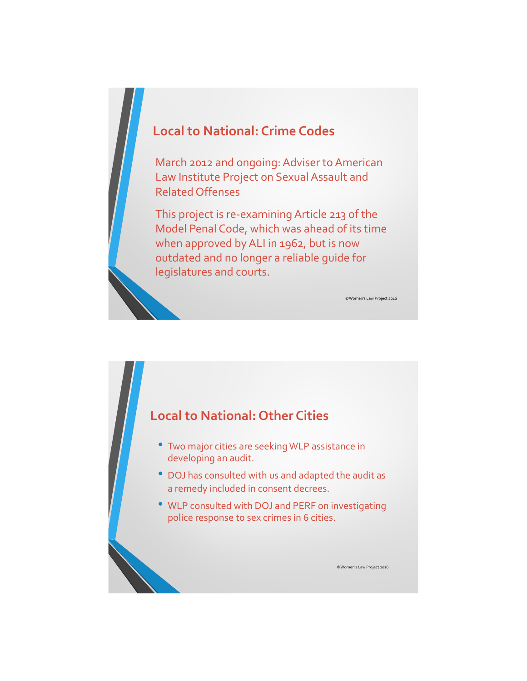### **Local to National: Crime Codes**

March 2012 and ongoing: Adviser to American Law Institute Project on Sexual Assault and Related Offenses

This project is re-examining Article 213 of the Model Penal Code, which was ahead of its time when approved by ALI in 1962, but is now outdated and no longer a reliable guide for legislatures and courts.

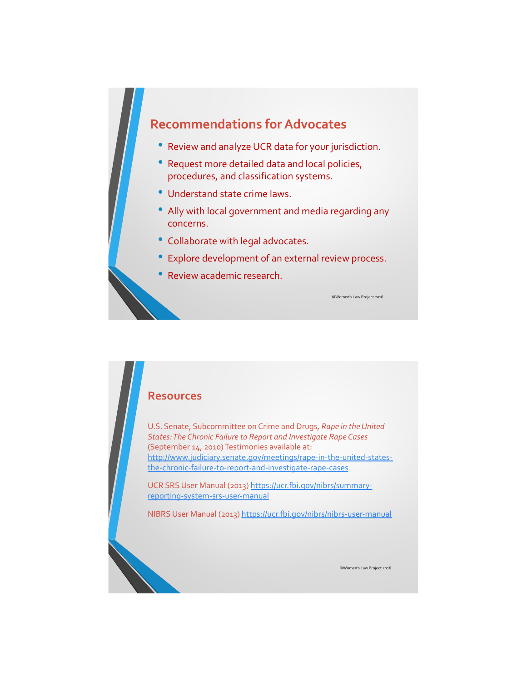#### **Recommendations for Advocates**

- Review and analyze UCR data for your jurisdiction.
- Request more detailed data and local policies, procedures, and classification systems.
- Understand state crime laws.
- Ally with local government and media regarding any concerns.
- Collaborate with legal advocates.
- Explore development of an external review process.
- Review academic research.

#### **Resources**

U.S. Senate, Subcommittee on Crime and Drugs, *Rape in the United States: The Chronic Failure to Report and Investigate Rape Cases*  (September 14, 2010) Testimonies available at: http://www.judiciary.senate.gov/meetings/rape-in-the-united-statesthe-chronic-failure-to-report-and-investigate-rape-cases

UCR SRS User Manual (2013) https://ucr.fbi.gov/nibrs/summaryreporting-system-srs-user-manual

NIBRS User Manual (2013) https://ucr.fbi.gov/nibrs/nibrs-user-manual

©Women's Law Project 2016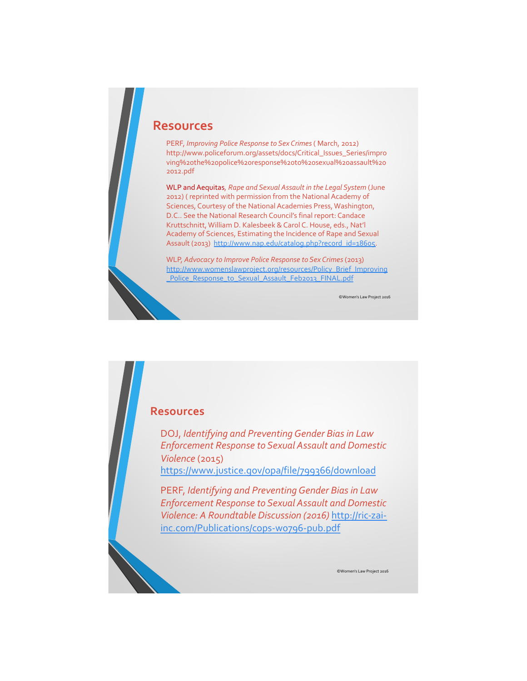#### **Resources**

PERF, *Improving Police Response to Sex Crimes* ( March, 2012) http://www.policeforum.org/assets/docs/Critical\_Issues\_Series/impro ving%20the%20police%20response%20to%20sexual%20assault%20 2012.pdf

WLP and Aequitas*, Rape and Sexual Assault in the Legal System* (June 2012) ( reprinted with permission from the National Academy of Sciences, Courtesy of the National Academies Press, Washington, D.C.. See the National Research Council's final report: Candace Kruttschnitt, William D. Kalesbeek & Carol C. House, eds., Nat'l Academy of Sciences, Estimating the Incidence of Rape and Sexual Assault (2013) http://www.nap.edu/catalog.php?record\_id=18605.

WLP, *Advocacy to Improve Police Response to Sex Crimes* (2013) http://www.womenslawproject.org/resources/Policy\_Brief\_Improving \_Police\_Response\_to\_Sexual\_Assault\_Feb2013\_FINAL.pdf

©Women's Law Project 2016

#### **Resources**

DOJ, *Identifying and Preventing Gender Bias in Law Enforcement Response to Sexual Assault and Domestic Violence* (2015) https://www.justice.gov/opa/file/799366/download

PERF, *Identifying and Preventing Gender Bias in Law Enforcement Response to Sexual Assault and Domestic Violence: A Roundtable Discussion (2016)* http://ric-zaiinc.com/Publications/cops-w0796-pub.pdf